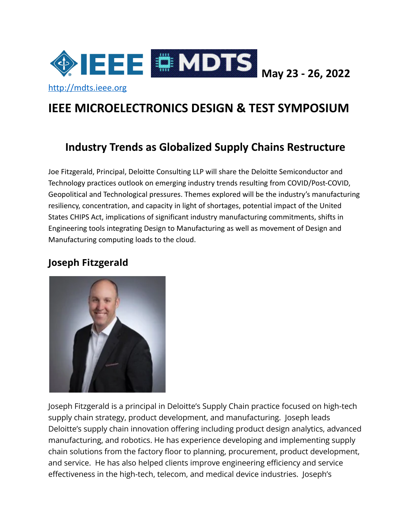

# **IEEE MICROELECTRONICS DESIGN & TEST SYMPOSIUM**

# **Industry Trends as Globalized Supply Chains Restructure**

Joe Fitzgerald, Principal, Deloitte Consulting LLP will share the Deloitte Semiconductor and Technology practices outlook on emerging industry trends resulting from COVID/Post-COVID, Geopolitical and Technological pressures. Themes explored will be the industry's manufacturing resiliency, concentration, and capacity in light of shortages, potential impact of the United States CHIPS Act, implications of significant industry manufacturing commitments, shifts in Engineering tools integrating Design to Manufacturing as well as movement of Design and Manufacturing computing loads to the cloud.

#### **Joseph Fitzgerald**



Joseph Fitzgerald is a principal in Deloitte's Supply Chain practice focused on high-tech supply chain strategy, product development, and manufacturing. Joseph leads Deloitte's supply chain innovation offering including product design analytics, advanced manufacturing, and robotics. He has experience developing and implementing supply chain solutions from the factory floor to planning, procurement, product development, and service. He has also helped clients improve engineering efficiency and service effectiveness in the high-tech, telecom, and medical device industries. Joseph's